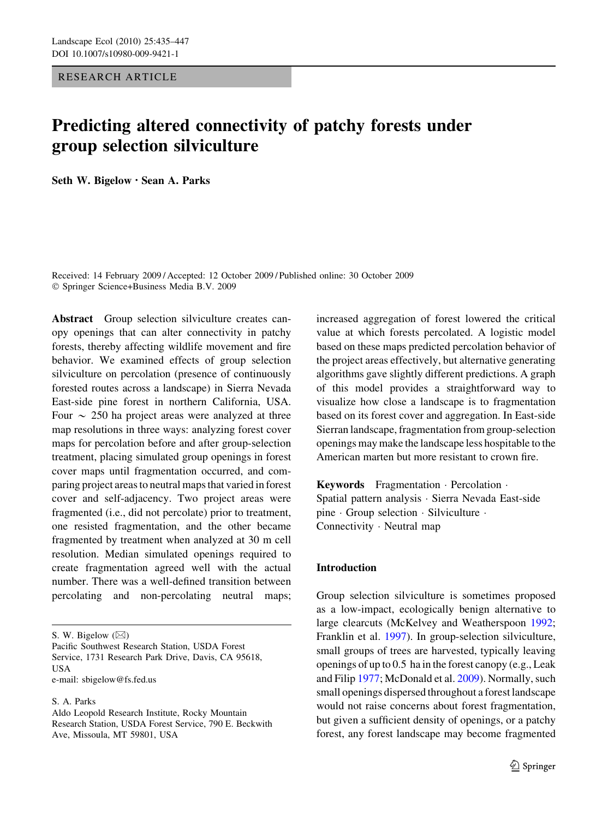RESEARCH ARTICLE

# Predicting altered connectivity of patchy forests under group selection silviculture

Seth W. Bigelow *•* Sean A. Parks

Received: 14 February 2009 / Accepted: 12 October 2009 / Published online: 30 October 2009 Springer Science+Business Media B.V. 2009

Abstract Group selection silviculture creates canopy openings that can alter connectivity in patchy forests, thereby affecting wildlife movement and fire behavior. We examined effects of group selection silviculture on percolation (presence of continuously forested routes across a landscape) in Sierra Nevada East-side pine forest in northern California, USA. Four  $\sim$  250 ha project areas were analyzed at three map resolutions in three ways: analyzing forest cover maps for percolation before and after group-selection treatment, placing simulated group openings in forest cover maps until fragmentation occurred, and comparing project areas to neutral maps that varied in forest cover and self-adjacency. Two project areas were fragmented (i.e., did not percolate) prior to treatment, one resisted fragmentation, and the other became fragmented by treatment when analyzed at 30 m cell resolution. Median simulated openings required to create fragmentation agreed well with the actual number. There was a well-defined transition between percolating and non-percolating neutral maps;

Pacific Southwest Research Station, USDA Forest Service, 1731 Research Park Drive, Davis, CA 95618, USA e-mail: sbigelow@fs.fed.us

S. A. Parks

Aldo Leopold Research Institute, Rocky Mountain Research Station, USDA Forest Service, 790 E. Beckwith Ave, Missoula, MT 59801, USA

increased aggregation of forest lowered the critical value at which forests percolated. A logistic model based on these maps predicted percolation behavior of the project areas effectively, but alternative generating algorithms gave slightly different predictions. A graph of this model provides a straightforward way to visualize how close a landscape is to fragmentation based on its forest cover and aggregation. In East-side Sierran landscape, fragmentation from group-selection openings may make the landscape less hospitable to the American marten but more resistant to crown fire.

Keywords Fragmentation  $\cdot$  Percolation  $\cdot$ Spatial pattern analysis · Sierra Nevada East-side pine  $\cdot$  Group selection  $\cdot$  Silviculture  $\cdot$ Connectivity · Neutral map

### Introduction

Group selection silviculture is sometimes proposed as a low-impact, ecologically benign alternative to large clearcuts (McKelvey and Weatherspoon [1992](#page-11-0); Franklin et al. [1997](#page-11-0)). In group-selection silviculture, small groups of trees are harvested, typically leaving openings of up to 0.5 ha in the forest canopy (e.g., Leak and Filip [1977;](#page-11-0) McDonald et al. [2009\)](#page-11-0). Normally, such small openings dispersed throughout a forest landscape would not raise concerns about forest fragmentation, but given a sufficient density of openings, or a patchy forest, any forest landscape may become fragmented

S. W. Bigelow  $(\boxtimes)$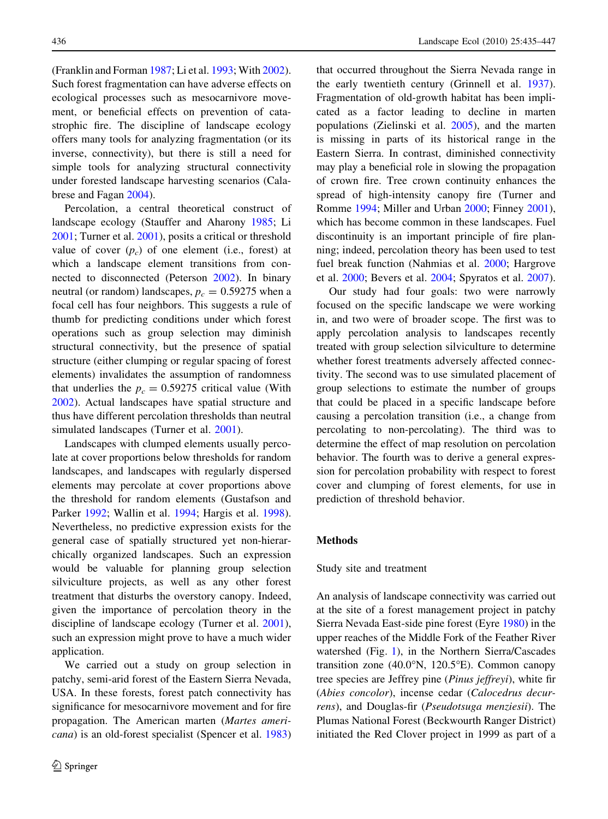(Franklin and Forman [1987;](#page-11-0) Li et al. [1993](#page-11-0); With [2002](#page-12-0)). Such forest fragmentation can have adverse effects on ecological processes such as mesocarnivore movement, or beneficial effects on prevention of catastrophic fire. The discipline of landscape ecology offers many tools for analyzing fragmentation (or its inverse, connectivity), but there is still a need for simple tools for analyzing structural connectivity under forested landscape harvesting scenarios (Calabrese and Fagan [2004](#page-11-0)).

Percolation, a central theoretical construct of landscape ecology (Stauffer and Aharony [1985;](#page-12-0) Li [2001;](#page-11-0) Turner et al. [2001](#page-12-0)), posits a critical or threshold value of cover  $(p<sub>c</sub>)$  of one element (i.e., forest) at which a landscape element transitions from connected to disconnected (Peterson [2002\)](#page-12-0). In binary neutral (or random) landscapes,  $p_c = 0.59275$  when a focal cell has four neighbors. This suggests a rule of thumb for predicting conditions under which forest operations such as group selection may diminish structural connectivity, but the presence of spatial structure (either clumping or regular spacing of forest elements) invalidates the assumption of randomness that underlies the  $p_c = 0.59275$  critical value (With [2002\)](#page-12-0). Actual landscapes have spatial structure and thus have different percolation thresholds than neutral simulated landscapes (Turner et al. [2001](#page-12-0)).

Landscapes with clumped elements usually percolate at cover proportions below thresholds for random landscapes, and landscapes with regularly dispersed elements may percolate at cover proportions above the threshold for random elements (Gustafson and Parker [1992](#page-11-0); Wallin et al. [1994;](#page-12-0) Hargis et al. [1998](#page-11-0)). Nevertheless, no predictive expression exists for the general case of spatially structured yet non-hierarchically organized landscapes. Such an expression would be valuable for planning group selection silviculture projects, as well as any other forest treatment that disturbs the overstory canopy. Indeed, given the importance of percolation theory in the discipline of landscape ecology (Turner et al. [2001](#page-12-0)), such an expression might prove to have a much wider application.

We carried out a study on group selection in patchy, semi-arid forest of the Eastern Sierra Nevada, USA. In these forests, forest patch connectivity has significance for mesocarnivore movement and for fire propagation. The American marten (Martes americana) is an old-forest specialist (Spencer et al. [1983\)](#page-12-0) that occurred throughout the Sierra Nevada range in the early twentieth century (Grinnell et al. [1937](#page-11-0)). Fragmentation of old-growth habitat has been implicated as a factor leading to decline in marten populations (Zielinski et al. [2005](#page-12-0)), and the marten is missing in parts of its historical range in the Eastern Sierra. In contrast, diminished connectivity may play a beneficial role in slowing the propagation of crown fire. Tree crown continuity enhances the spread of high-intensity canopy fire (Turner and Romme [1994](#page-12-0); Miller and Urban [2000](#page-11-0); Finney [2001](#page-11-0)), which has become common in these landscapes. Fuel discontinuity is an important principle of fire planning; indeed, percolation theory has been used to test fuel break function (Nahmias et al. [2000;](#page-12-0) Hargrove et al. [2000;](#page-11-0) Bevers et al. [2004;](#page-10-0) Spyratos et al. [2007](#page-12-0)).

Our study had four goals: two were narrowly focused on the specific landscape we were working in, and two were of broader scope. The first was to apply percolation analysis to landscapes recently treated with group selection silviculture to determine whether forest treatments adversely affected connectivity. The second was to use simulated placement of group selections to estimate the number of groups that could be placed in a specific landscape before causing a percolation transition (i.e., a change from percolating to non-percolating). The third was to determine the effect of map resolution on percolation behavior. The fourth was to derive a general expression for percolation probability with respect to forest cover and clumping of forest elements, for use in prediction of threshold behavior.

## Methods

Study site and treatment

An analysis of landscape connectivity was carried out at the site of a forest management project in patchy Sierra Nevada East-side pine forest (Eyre [1980](#page-11-0)) in the upper reaches of the Middle Fork of the Feather River watershed (Fig. [1](#page-2-0)), in the Northern Sierra/Cascades transition zone  $(40.0\textdegree N, 120.5\textdegree E)$ . Common canopy tree species are Jeffrey pine (Pinus jeffreyi), white fir (Abies concolor), incense cedar (Calocedrus decurrens), and Douglas-fir (Pseudotsuga menziesii). The Plumas National Forest (Beckwourth Ranger District) initiated the Red Clover project in 1999 as part of a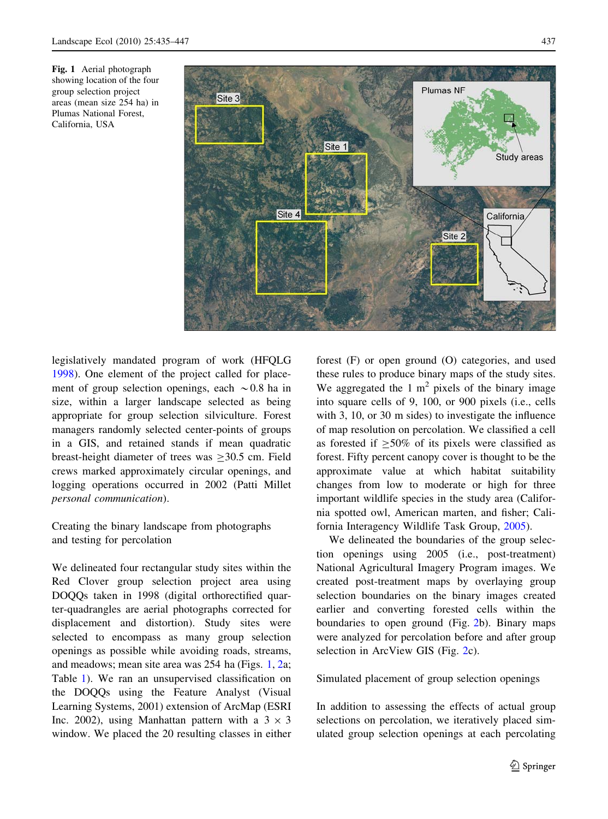<span id="page-2-0"></span>



legislatively mandated program of work (HFQLG [1998\)](#page-11-0). One element of the project called for placement of group selection openings, each  $\sim 0.8$  ha in size, within a larger landscape selected as being appropriate for group selection silviculture. Forest managers randomly selected center-points of groups in a GIS, and retained stands if mean quadratic breast-height diameter of trees was  $>30.5$  cm. Field crews marked approximately circular openings, and logging operations occurred in 2002 (Patti Millet personal communication).

Creating the binary landscape from photographs and testing for percolation

We delineated four rectangular study sites within the Red Clover group selection project area using DOQQs taken in 1998 (digital orthorectified quarter-quadrangles are aerial photographs corrected for displacement and distortion). Study sites were selected to encompass as many group selection openings as possible while avoiding roads, streams, and meadows; mean site area was 254 ha (Figs. 1, [2a](#page-3-0); Table [1\)](#page-4-0). We ran an unsupervised classification on the DOQQs using the Feature Analyst (Visual Learning Systems, 2001) extension of ArcMap (ESRI Inc. 2002), using Manhattan pattern with a  $3 \times 3$ window. We placed the 20 resulting classes in either forest (F) or open ground (O) categories, and used these rules to produce binary maps of the study sites. We aggregated the  $1 \text{ m}^2$  pixels of the binary image into square cells of 9, 100, or 900 pixels (i.e., cells with 3, 10, or 30 m sides) to investigate the influence of map resolution on percolation. We classified a cell as forested if  $\geq 50\%$  of its pixels were classified as forest. Fifty percent canopy cover is thought to be the approximate value at which habitat suitability changes from low to moderate or high for three important wildlife species in the study area (California spotted owl, American marten, and fisher; California Interagency Wildlife Task Group, [2005\)](#page-11-0).

We delineated the boundaries of the group selection openings using 2005 (i.e., post-treatment) National Agricultural Imagery Program images. We created post-treatment maps by overlaying group selection boundaries on the binary images created earlier and converting forested cells within the boundaries to open ground (Fig. [2](#page-3-0)b). Binary maps were analyzed for percolation before and after group selection in ArcView GIS (Fig. [2c](#page-3-0)).

Simulated placement of group selection openings

In addition to assessing the effects of actual group selections on percolation, we iteratively placed simulated group selection openings at each percolating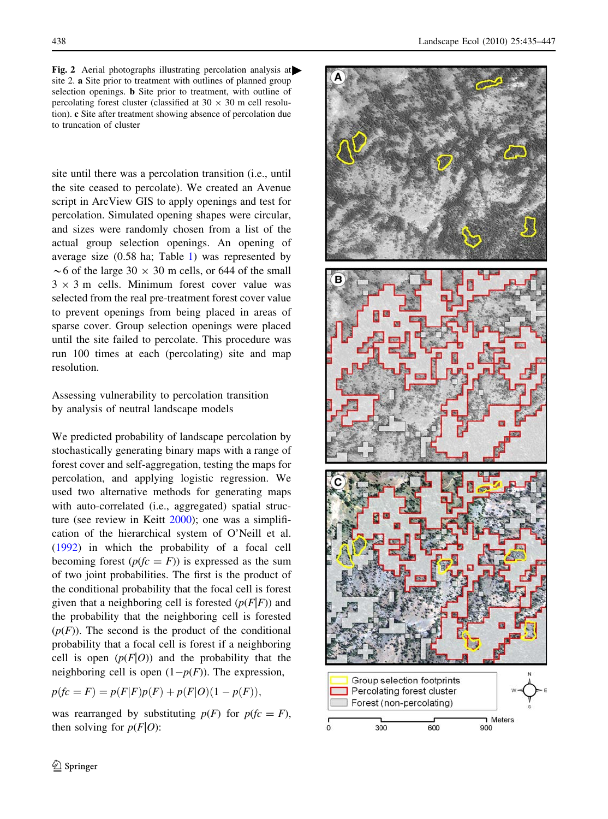<span id="page-3-0"></span>Fig. 2 Aerial photographs illustrating percolation analysis at *c* site 2. a Site prior to treatment with outlines of planned group selection openings. b Site prior to treatment, with outline of percolating forest cluster (classified at  $30 \times 30$  m cell resolution). c Site after treatment showing absence of percolation due to truncation of cluster

site until there was a percolation transition (i.e., until the site ceased to percolate). We created an Avenue script in ArcView GIS to apply openings and test for percolation. Simulated opening shapes were circular, and sizes were randomly chosen from a list of the actual group selection openings. An opening of average size (0.58 ha; Table [1](#page-4-0)) was represented by  $\sim$  6 of the large 30  $\times$  30 m cells, or 644 of the small  $3 \times 3$  m cells. Minimum forest cover value was selected from the real pre-treatment forest cover value to prevent openings from being placed in areas of sparse cover. Group selection openings were placed until the site failed to percolate. This procedure was run 100 times at each (percolating) site and map resolution.

Assessing vulnerability to percolation transition by analysis of neutral landscape models

We predicted probability of landscape percolation by stochastically generating binary maps with a range of forest cover and self-aggregation, testing the maps for percolation, and applying logistic regression. We used two alternative methods for generating maps with auto-correlated (i.e., aggregated) spatial structure (see review in Keitt [2000\)](#page-11-0); one was a simplification of the hierarchical system of O'Neill et al. [\(1992](#page-12-0)) in which the probability of a focal cell becoming forest  $(p(fc = F))$  is expressed as the sum of two joint probabilities. The first is the product of the conditional probability that the focal cell is forest given that a neighboring cell is forested  $(p(F|F))$  and the probability that the neighboring cell is forested  $(p(F))$ . The second is the product of the conditional probability that a focal cell is forest if a neighboring cell is open  $(p(F|O))$  and the probability that the neighboring cell is open  $(1-p(F))$ . The expression,

 $p$ (fc = F) =  $p$ (F|F) $p$ (F) +  $p$ (F|O)(1 -  $p$ (F)),

was rearranged by substituting  $p(F)$  for  $p(fc = F)$ , then solving for  $p(F|O)$ :

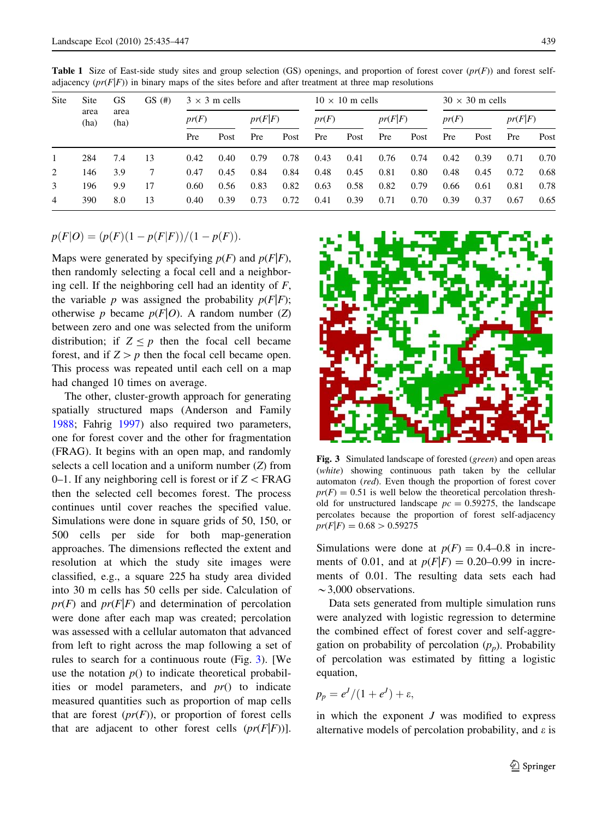| Site | Site<br>area<br>(ha) | GS<br>area<br>(ha) | $GS$ (#) | $3 \times 3$ m cells |      |         | $10 \times 10$ m cells |       |      | $30 \times 30$ m cells |      |       |      |         |      |
|------|----------------------|--------------------|----------|----------------------|------|---------|------------------------|-------|------|------------------------|------|-------|------|---------|------|
|      |                      |                    |          | pr(F)                |      | pr(F F) |                        | pr(F) |      | pr(F F)                |      | pr(F) |      | pr(F F) |      |
|      |                      |                    |          | Pre                  | Post | Pre     | Post                   | Pre   | Post | Pre                    | Post | Pre   | Post | Pre     | Post |
|      | 284                  | 7.4                | 13       | 0.42                 | 0.40 | 0.79    | 0.78                   | 0.43  | 0.41 | 0.76                   | 0.74 | 0.42  | 0.39 | 0.71    | 0.70 |
| 2    | 146                  | 3.9                |          | 0.47                 | 0.45 | 0.84    | 0.84                   | 0.48  | 0.45 | 0.81                   | 0.80 | 0.48  | 0.45 | 0.72    | 0.68 |
| 3    | 196                  | 9.9                | 17       | 0.60                 | 0.56 | 0.83    | 0.82                   | 0.63  | 0.58 | 0.82                   | 0.79 | 0.66  | 0.61 | 0.81    | 0.78 |
| 4    | 390                  | 8.0                | 13       | 0.40                 | 0.39 | 0.73    | 0.72                   | 0.41  | 0.39 | 0.71                   | 0.70 | 0.39  | 0.37 | 0.67    | 0.65 |

<span id="page-4-0"></span>**Table 1** Size of East-side study sites and group selection (GS) openings, and proportion of forest cover  $(pr(F))$  and forest selfadjacency  $(pr(F|F))$  in binary maps of the sites before and after treatment at three map resolutions

 $p(F|O) = (p(F)(1 - p(F|F))/(1 - p(F)).$ 

Maps were generated by specifying  $p(F)$  and  $p(F|F)$ , then randomly selecting a focal cell and a neighboring cell. If the neighboring cell had an identity of  $F$ , the variable p was assigned the probability  $p(F|F)$ ; otherwise p became  $p(F|O)$ . A random number (Z) between zero and one was selected from the uniform distribution; if  $Z \leq p$  then the focal cell became forest, and if  $Z > p$  then the focal cell became open. This process was repeated until each cell on a map had changed 10 times on average.

The other, cluster-growth approach for generating spatially structured maps (Anderson and Family [1988;](#page-10-0) Fahrig [1997](#page-11-0)) also required two parameters, one for forest cover and the other for fragmentation (FRAG). It begins with an open map, and randomly selects a cell location and a uniform number (Z) from 0–1. If any neighboring cell is forest or if  $Z < FRAG$ then the selected cell becomes forest. The process continues until cover reaches the specified value. Simulations were done in square grids of 50, 150, or 500 cells per side for both map-generation approaches. The dimensions reflected the extent and resolution at which the study site images were classified, e.g., a square 225 ha study area divided into 30 m cells has 50 cells per side. Calculation of  $pr(F)$  and  $pr(F|F)$  and determination of percolation were done after each map was created; percolation was assessed with a cellular automaton that advanced from left to right across the map following a set of rules to search for a continuous route (Fig. 3). [We use the notation  $p()$  to indicate theoretical probabilities or model parameters, and  $pr()$  to indicate measured quantities such as proportion of map cells that are forest  $(pr(F))$ , or proportion of forest cells that are adjacent to other forest cells  $(pr(F|F))$ .



Fig. 3 Simulated landscape of forested (green) and open areas (white) showing continuous path taken by the cellular automaton (red). Even though the proportion of forest cover  $pr(F) = 0.51$  is well below the theoretical percolation threshold for unstructured landscape  $pc = 0.59275$ , the landscape percolates because the proportion of forest self-adjacency  $pr(F|F) = 0.68 > 0.59275$ 

Simulations were done at  $p(F) = 0.4{\text{-}}0.8$  in increments of 0.01, and at  $p(F|F) = 0.20{\text -}0.99$  in increments of 0.01. The resulting data sets each had  $\sim$ 3,000 observations.

Data sets generated from multiple simulation runs were analyzed with logistic regression to determine the combined effect of forest cover and self-aggregation on probability of percolation  $(p_p)$ . Probability of percolation was estimated by fitting a logistic equation,

$$
p_p = e^J/(1+e^J) + \varepsilon,
$$

in which the exponent  $J$  was modified to express alternative models of percolation probability, and  $\varepsilon$  is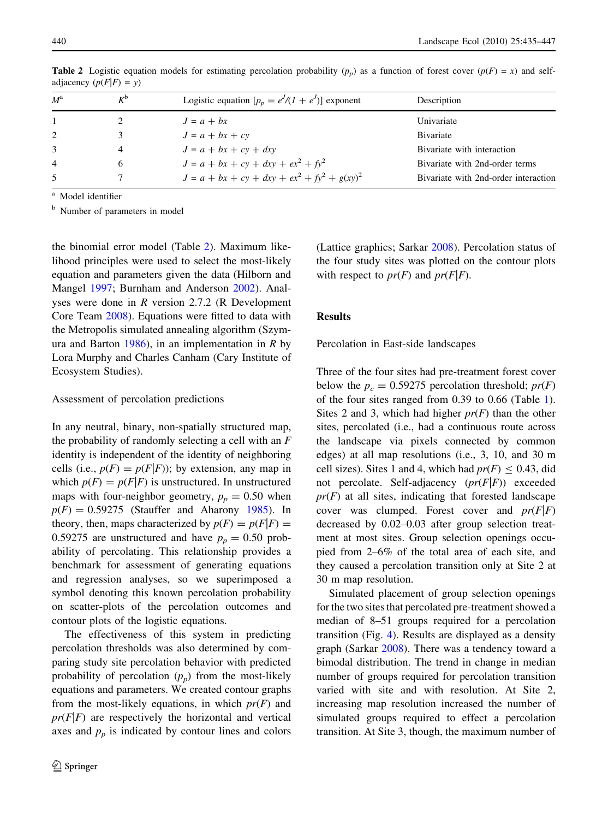| $M^{\rm a}$    |   | Logistic equation $[p_p = e^{J} / (1 + e^{J})]$ exponent | Description                          |
|----------------|---|----------------------------------------------------------|--------------------------------------|
|                |   | $J = a + bx$                                             | Univariate                           |
| 2              |   | $J = a + bx + cy$                                        | <b>B</b> ivariate                    |
| 3              |   | $J = a + bx + cy + dxy$                                  | Bivariate with interaction           |
| $\overline{4}$ | 6 | $J = a + bx + cy + dxy + ex^2 + fy^2$                    | Bivariate with 2nd-order terms       |
| 5              |   | $J = a + bx + cy + dxy + ex^2 + fy^2 + g(xy)^2$          | Bivariate with 2nd-order interaction |

**Table 2** Logistic equation models for estimating percolation probability  $(p_n)$  as a function of forest cover  $(p(F) = x)$  and selfadjacency  $(p(F|F) = y)$ 

<sup>a</sup> Model identifier

<sup>b</sup> Number of parameters in model

the binomial error model (Table 2). Maximum likelihood principles were used to select the most-likely equation and parameters given the data (Hilborn and Mangel [1997](#page-11-0); Burnham and Anderson [2002\)](#page-11-0). Analyses were done in R version 2.7.2 (R Development Core Team [2008](#page-12-0)). Equations were fitted to data with the Metropolis simulated annealing algorithm (Szym-ura and Barton [1986\)](#page-12-0), in an implementation in  $R$  by Lora Murphy and Charles Canham (Cary Institute of Ecosystem Studies).

## Assessment of percolation predictions

In any neutral, binary, non-spatially structured map, the probability of randomly selecting a cell with an  $F$ identity is independent of the identity of neighboring cells (i.e.,  $p(F) = p(F|F)$ ); by extension, any map in which  $p(F) = p(F|F)$  is unstructured. In unstructured maps with four-neighbor geometry,  $p_p = 0.50$  when  $p(F) = 0.59275$  (Stauffer and Aharony [1985\)](#page-12-0). In theory, then, maps characterized by  $p(F) = p(F|F)$  = 0.59275 are unstructured and have  $p_p = 0.50$  probability of percolating. This relationship provides a benchmark for assessment of generating equations and regression analyses, so we superimposed a symbol denoting this known percolation probability on scatter-plots of the percolation outcomes and contour plots of the logistic equations.

The effectiveness of this system in predicting percolation thresholds was also determined by comparing study site percolation behavior with predicted probability of percolation  $(p_p)$  from the most-likely equations and parameters. We created contour graphs from the most-likely equations, in which  $pr(F)$  and  $pr(F|F)$  are respectively the horizontal and vertical axes and  $p_p$  is indicated by contour lines and colors (Lattice graphics; Sarkar [2008](#page-12-0)). Percolation status of the four study sites was plotted on the contour plots with respect to  $pr(F)$  and  $pr(F|F)$ .

## Results

Percolation in East-side landscapes

Three of the four sites had pre-treatment forest cover below the  $p_c = 0.59275$  percolation threshold;  $pr(F)$ of the four sites ranged from 0.39 to 0.66 (Table [1](#page-4-0)). Sites 2 and 3, which had higher  $pr(F)$  than the other sites, percolated (i.e., had a continuous route across the landscape via pixels connected by common edges) at all map resolutions (i.e., 3, 10, and 30 m cell sizes). Sites 1 and 4, which had  $pr(F) < 0.43$ , did not percolate. Self-adjacency  $(pr(F|F))$  exceeded  $pr(F)$  at all sites, indicating that forested landscape cover was clumped. Forest cover and  $pr(F|F)$ decreased by 0.02–0.03 after group selection treatment at most sites. Group selection openings occupied from 2–6% of the total area of each site, and they caused a percolation transition only at Site 2 at 30 m map resolution.

Simulated placement of group selection openings for the two sites that percolated pre-treatment showed a median of 8–51 groups required for a percolation transition (Fig. [4](#page-6-0)). Results are displayed as a density graph (Sarkar [2008](#page-12-0)). There was a tendency toward a bimodal distribution. The trend in change in median number of groups required for percolation transition varied with site and with resolution. At Site 2, increasing map resolution increased the number of simulated groups required to effect a percolation transition. At Site 3, though, the maximum number of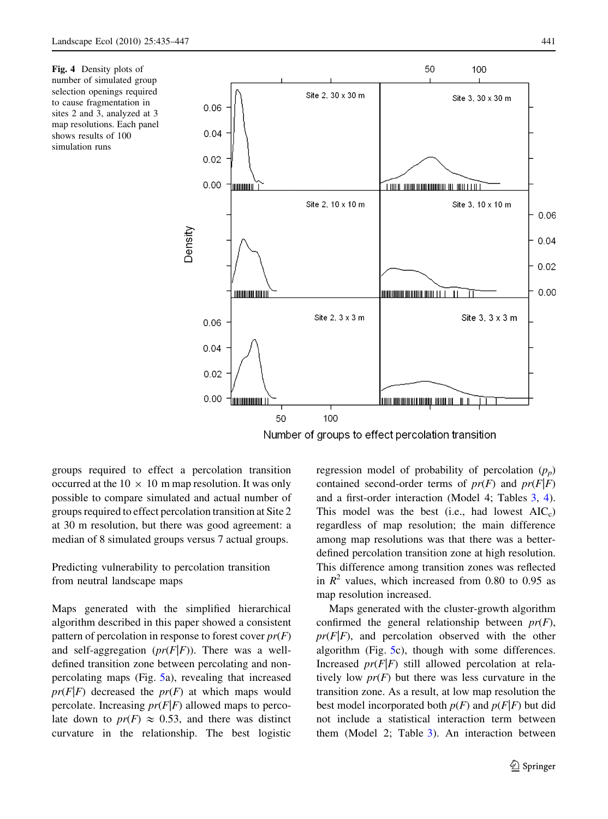<span id="page-6-0"></span>Fig. 4 Density plots of number of simulated group selection openings required to cause fragmentation in sites 2 and 3, analyzed at 3 map resolutions. Each panel shows results of 100 simulation runs



Number of groups to effect percolation transition

groups required to effect a percolation transition occurred at the  $10 \times 10$  m map resolution. It was only possible to compare simulated and actual number of groups required to effect percolation transition at Site 2 at 30 m resolution, but there was good agreement: a median of 8 simulated groups versus 7 actual groups.

Density

 $0.02$ 

 $0.00$ 

hommun

50

100

Predicting vulnerability to percolation transition from neutral landscape maps

Maps generated with the simplified hierarchical algorithm described in this paper showed a consistent pattern of percolation in response to forest cover  $pr(F)$ and self-aggregation  $(pr(F|F))$ . There was a welldefined transition zone between percolating and nonpercolating maps (Fig. [5a](#page-7-0)), revealing that increased  $pr(F|F)$  decreased the  $pr(F)$  at which maps would percolate. Increasing  $pr(F|F)$  allowed maps to percolate down to  $pr(F) \approx 0.53$ , and there was distinct curvature in the relationship. The best logistic regression model of probability of percolation  $(p_p)$ contained second-order terms of  $pr(F)$  and  $pr(F|F)$ and a first-order interaction (Model 4; Tables [3,](#page-7-0) [4](#page-8-0)). This model was the best (i.e., had lowest  $AIC<sub>c</sub>$ ) regardless of map resolution; the main difference among map resolutions was that there was a betterdefined percolation transition zone at high resolution. This difference among transition zones was reflected in  $R^2$  values, which increased from 0.80 to 0.95 as map resolution increased.

<u> IIIII ANIMINI AMMIN MUUTI I</u>

 $\mathbf{I}$   $\mathbf{I}$ 

Maps generated with the cluster-growth algorithm confirmed the general relationship between  $pr(F)$ ,  $pr(F|F)$ , and percolation observed with the other algorithm (Fig. [5](#page-7-0)c), though with some differences. Increased  $pr(F|F)$  still allowed percolation at relatively low  $pr(F)$  but there was less curvature in the transition zone. As a result, at low map resolution the best model incorporated both  $p(F)$  and  $p(F|F)$  but did not include a statistical interaction term between them (Model 2; Table [3\)](#page-7-0). An interaction between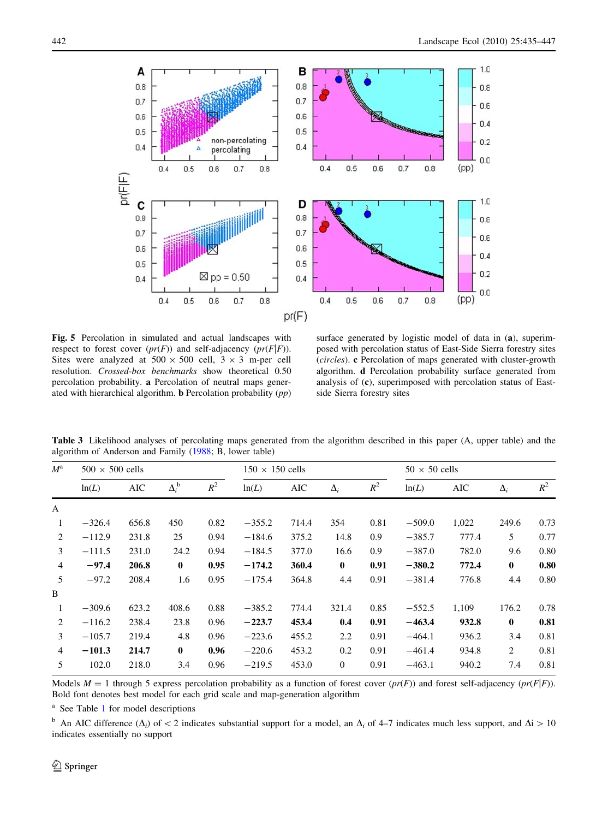<span id="page-7-0"></span>

Fig. 5 Percolation in simulated and actual landscapes with respect to forest cover  $(pr(F))$  and self-adjacency  $(pr(F|F))$ . Sites were analyzed at  $500 \times 500$  cell,  $3 \times 3$  m-per cell resolution. Crossed-box benchmarks show theoretical 0.50 percolation probability. a Percolation of neutral maps generated with hierarchical algorithm. **b** Percolation probability  $(pp)$ 

surface generated by logistic model of data in (a), superimposed with percolation status of East-Side Sierra forestry sites (circles). c Percolation of maps generated with cluster-growth algorithm. d Percolation probability surface generated from analysis of (c), superimposed with percolation status of Eastside Sierra forestry sites

Table 3 Likelihood analyses of percolating maps generated from the algorithm described in this paper (A, upper table) and the algorithm of Anderson and Family [\(1988](#page-10-0); B, lower table)

| $M^{\rm a}$    | $500 \times 500$ cells |            |                       |       | $150 \times 150$ cells |       |                |                | $50 \times 50$ cells |       |            |       |
|----------------|------------------------|------------|-----------------------|-------|------------------------|-------|----------------|----------------|----------------------|-------|------------|-------|
|                | ln(L)                  | <b>AIC</b> | $\Delta_i^{\text{b}}$ | $R^2$ | ln(L)                  | AIC   | $\Delta_i$     | $\mathbb{R}^2$ | ln(L)                | AIC   | $\Delta_i$ | $R^2$ |
| A              |                        |            |                       |       |                        |       |                |                |                      |       |            |       |
| 1              | $-326.4$               | 656.8      | 450                   | 0.82  | $-355.2$               | 714.4 | 354            | 0.81           | $-509.0$             | 1,022 | 249.6      | 0.73  |
| 2              | $-112.9$               | 231.8      | 25                    | 0.94  | $-184.6$               | 375.2 | 14.8           | 0.9            | $-385.7$             | 777.4 | 5          | 0.77  |
| 3              | $-111.5$               | 231.0      | 24.2                  | 0.94  | $-184.5$               | 377.0 | 16.6           | 0.9            | $-387.0$             | 782.0 | 9.6        | 0.80  |
| 4              | $-97.4$                | 206.8      | $\bf{0}$              | 0.95  | $-174.2$               | 360.4 | $\bf{0}$       | 0.91           | $-380.2$             | 772.4 | $\bf{0}$   | 0.80  |
| 5              | $-97.2$                | 208.4      | 1.6                   | 0.95  | $-175.4$               | 364.8 | 4.4            | 0.91           | $-381.4$             | 776.8 | 4.4        | 0.80  |
| B              |                        |            |                       |       |                        |       |                |                |                      |       |            |       |
| 1              | $-309.6$               | 623.2      | 408.6                 | 0.88  | $-385.2$               | 774.4 | 321.4          | 0.85           | $-552.5$             | 1,109 | 176.2      | 0.78  |
| 2              | $-116.2$               | 238.4      | 23.8                  | 0.96  | $-223.7$               | 453.4 | 0.4            | 0.91           | $-463.4$             | 932.8 | $\bf{0}$   | 0.81  |
| 3              | $-105.7$               | 219.4      | 4.8                   | 0.96  | $-223.6$               | 455.2 | 2.2            | 0.91           | $-464.1$             | 936.2 | 3.4        | 0.81  |
| $\overline{4}$ | $-101.3$               | 214.7      | $\mathbf{0}$          | 0.96  | $-220.6$               | 453.2 | 0.2            | 0.91           | $-461.4$             | 934.8 | 2          | 0.81  |
| 5              | 102.0                  | 218.0      | 3.4                   | 0.96  | $-219.5$               | 453.0 | $\overline{0}$ | 0.91           | $-463.1$             | 940.2 | 7.4        | 0.81  |

Models  $M = 1$  through 5 express percolation probability as a function of forest cover  $(pr(F))$  and forest self-adjacency  $(pr(F|F))$ . Bold font denotes best model for each grid scale and map-generation algorithm

<sup>a</sup> See Table [1](#page-4-0) for model descriptions

<sup>b</sup> An AIC difference  $(\Delta_i)$  of < 2 indicates substantial support for a model, an  $\Delta_i$  of 4–7 indicates much less support, and  $\Delta i > 10$ indicates essentially no support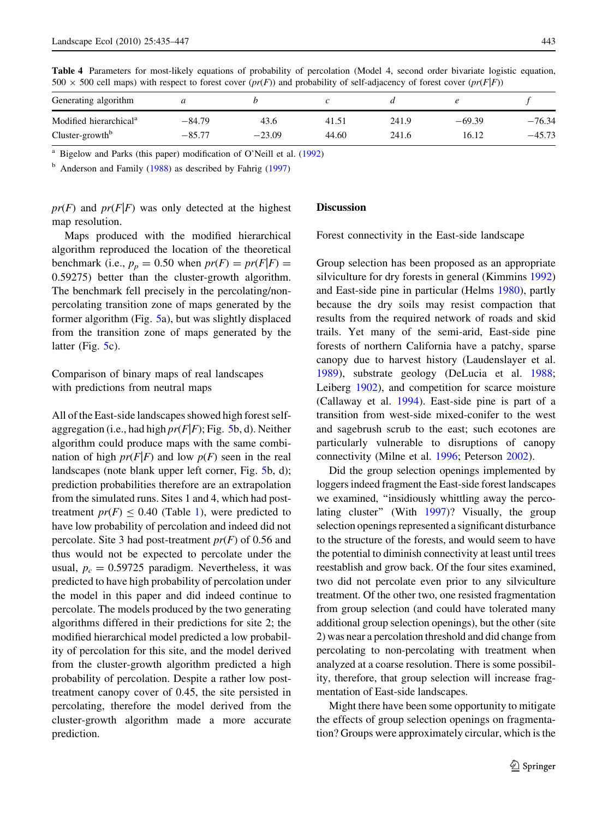| Generating algorithm               |          |          |       |       |          |          |
|------------------------------------|----------|----------|-------|-------|----------|----------|
| Modified hierarchical <sup>a</sup> | $-84.79$ | 43.6     | 41.51 | 241.9 | $-69.39$ | $-76.34$ |
| $Cluster$ -growth <sup>b</sup>     | $-85.77$ | $-23.09$ | 44.60 | 241.6 | 16.12    | $-45.73$ |

<span id="page-8-0"></span>Table 4 Parameters for most-likely equations of probability of percolation (Model 4, second order bivariate logistic equation,  $500 \times 500$  cell maps) with respect to forest cover  $(pr(F))$  and probability of self-adjacency of forest cover  $(pr(F|F))$ 

Bigelow and Parks (this paper) modification of O'Neill et al. ([1992\)](#page-12-0)

 $<sup>b</sup>$  Anderson and Family ([1988\)](#page-10-0) as described by Fahrig ([1997\)](#page-11-0)</sup>

 $pr(F)$  and  $pr(F|F)$  was only detected at the highest map resolution.

Maps produced with the modified hierarchical algorithm reproduced the location of the theoretical benchmark (i.e.,  $p_p = 0.50$  when  $pr(F) = pr(F|F)$ 0.59275) better than the cluster-growth algorithm. The benchmark fell precisely in the percolating/nonpercolating transition zone of maps generated by the former algorithm (Fig. [5a](#page-7-0)), but was slightly displaced from the transition zone of maps generated by the latter (Fig.  $5c$  $5c$ ).

Comparison of binary maps of real landscapes with predictions from neutral maps

All of the East-side landscapes showed high forest selfaggregation (i.e., had high  $pr(F|F)$ ; Fig. [5](#page-7-0)b, d). Neither algorithm could produce maps with the same combination of high  $pr(F|F)$  and low  $p(F)$  seen in the real landscapes (note blank upper left corner, Fig. [5](#page-7-0)b, d); prediction probabilities therefore are an extrapolation from the simulated runs. Sites 1 and 4, which had posttreatment  $pr(F)$  < 0.40 (Table [1](#page-4-0)), were predicted to have low probability of percolation and indeed did not percolate. Site 3 had post-treatment  $pr(F)$  of 0.56 and thus would not be expected to percolate under the usual,  $p_c = 0.59725$  paradigm. Nevertheless, it was predicted to have high probability of percolation under the model in this paper and did indeed continue to percolate. The models produced by the two generating algorithms differed in their predictions for site 2; the modified hierarchical model predicted a low probability of percolation for this site, and the model derived from the cluster-growth algorithm predicted a high probability of percolation. Despite a rather low posttreatment canopy cover of 0.45, the site persisted in percolating, therefore the model derived from the cluster-growth algorithm made a more accurate prediction.

### **Discussion**

Forest connectivity in the East-side landscape

Group selection has been proposed as an appropriate silviculture for dry forests in general (Kimmins [1992\)](#page-11-0) and East-side pine in particular (Helms [1980\)](#page-11-0), partly because the dry soils may resist compaction that results from the required network of roads and skid trails. Yet many of the semi-arid, East-side pine forests of northern California have a patchy, sparse canopy due to harvest history (Laudenslayer et al. [1989\)](#page-11-0), substrate geology (DeLucia et al. [1988](#page-11-0); Leiberg [1902](#page-11-0)), and competition for scarce moisture (Callaway et al. [1994](#page-11-0)). East-side pine is part of a transition from west-side mixed-conifer to the west and sagebrush scrub to the east; such ecotones are particularly vulnerable to disruptions of canopy connectivity (Milne et al. [1996](#page-11-0); Peterson [2002\)](#page-12-0).

Did the group selection openings implemented by loggers indeed fragment the East-side forest landscapes we examined, ''insidiously whittling away the percolating cluster'' (With [1997\)](#page-12-0)? Visually, the group selection openings represented a significant disturbance to the structure of the forests, and would seem to have the potential to diminish connectivity at least until trees reestablish and grow back. Of the four sites examined, two did not percolate even prior to any silviculture treatment. Of the other two, one resisted fragmentation from group selection (and could have tolerated many additional group selection openings), but the other (site 2) was near a percolation threshold and did change from percolating to non-percolating with treatment when analyzed at a coarse resolution. There is some possibility, therefore, that group selection will increase fragmentation of East-side landscapes.

Might there have been some opportunity to mitigate the effects of group selection openings on fragmentation? Groups were approximately circular, which is the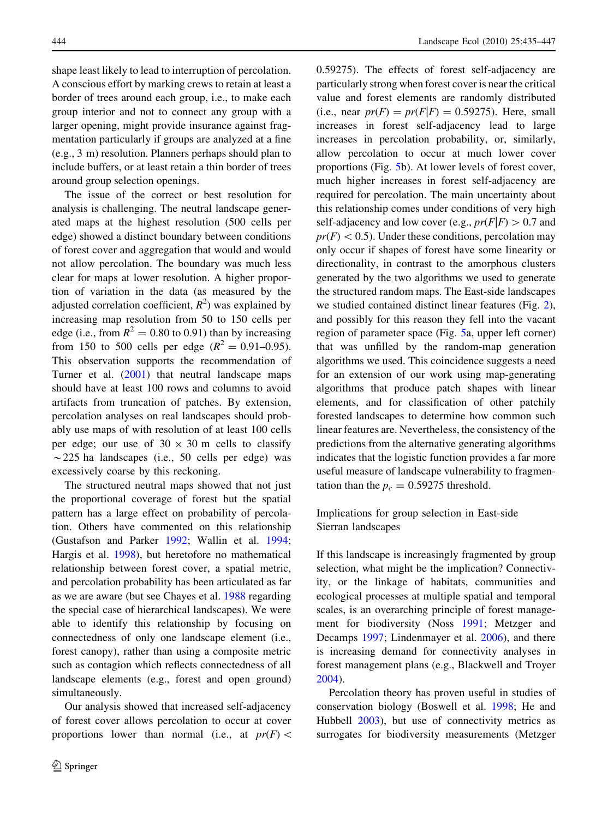shape least likely to lead to interruption of percolation. A conscious effort by marking crews to retain at least a border of trees around each group, i.e., to make each group interior and not to connect any group with a larger opening, might provide insurance against fragmentation particularly if groups are analyzed at a fine (e.g., 3 m) resolution. Planners perhaps should plan to include buffers, or at least retain a thin border of trees around group selection openings.

The issue of the correct or best resolution for analysis is challenging. The neutral landscape generated maps at the highest resolution (500 cells per edge) showed a distinct boundary between conditions of forest cover and aggregation that would and would not allow percolation. The boundary was much less clear for maps at lower resolution. A higher proportion of variation in the data (as measured by the adjusted correlation coefficient,  $R^2$ ) was explained by increasing map resolution from 50 to 150 cells per edge (i.e., from  $R^2 = 0.80$  to 0.91) than by increasing from 150 to 500 cells per edge  $(R^2 = 0.91 - 0.95)$ . This observation supports the recommendation of Turner et al. ([2001\)](#page-12-0) that neutral landscape maps should have at least 100 rows and columns to avoid artifacts from truncation of patches. By extension, percolation analyses on real landscapes should probably use maps of with resolution of at least 100 cells per edge; our use of  $30 \times 30$  m cells to classify  $\sim$  225 ha landscapes (i.e., 50 cells per edge) was excessively coarse by this reckoning.

The structured neutral maps showed that not just the proportional coverage of forest but the spatial pattern has a large effect on probability of percolation. Others have commented on this relationship (Gustafson and Parker [1992;](#page-11-0) Wallin et al. [1994](#page-12-0); Hargis et al. [1998](#page-11-0)), but heretofore no mathematical relationship between forest cover, a spatial metric, and percolation probability has been articulated as far as we are aware (but see Chayes et al. [1988](#page-11-0) regarding the special case of hierarchical landscapes). We were able to identify this relationship by focusing on connectedness of only one landscape element (i.e., forest canopy), rather than using a composite metric such as contagion which reflects connectedness of all landscape elements (e.g., forest and open ground) simultaneously.

Our analysis showed that increased self-adjacency of forest cover allows percolation to occur at cover proportions lower than normal (i.e., at  $pr(F)$  0.59275). The effects of forest self-adjacency are particularly strong when forest cover is near the critical value and forest elements are randomly distributed (i.e., near  $pr(F) = pr(F|F) = 0.59275$ ). Here, small increases in forest self-adjacency lead to large increases in percolation probability, or, similarly, allow percolation to occur at much lower cover proportions (Fig. [5](#page-7-0)b). At lower levels of forest cover, much higher increases in forest self-adjacency are required for percolation. The main uncertainty about this relationship comes under conditions of very high self-adjacency and low cover (e.g.,  $pr(F|F) > 0.7$  and  $pr(F)$  < 0.5). Under these conditions, percolation may only occur if shapes of forest have some linearity or directionality, in contrast to the amorphous clusters generated by the two algorithms we used to generate the structured random maps. The East-side landscapes we studied contained distinct linear features (Fig. [2](#page-3-0)), and possibly for this reason they fell into the vacant region of parameter space (Fig. [5a](#page-7-0), upper left corner) that was unfilled by the random-map generation algorithms we used. This coincidence suggests a need for an extension of our work using map-generating algorithms that produce patch shapes with linear elements, and for classification of other patchily forested landscapes to determine how common such linear features are. Nevertheless, the consistency of the predictions from the alternative generating algorithms indicates that the logistic function provides a far more useful measure of landscape vulnerability to fragmentation than the  $p_c = 0.59275$  threshold.

Implications for group selection in East-side Sierran landscapes

If this landscape is increasingly fragmented by group selection, what might be the implication? Connectivity, or the linkage of habitats, communities and ecological processes at multiple spatial and temporal scales, is an overarching principle of forest management for biodiversity (Noss [1991;](#page-12-0) Metzger and Decamps [1997;](#page-11-0) Lindenmayer et al. [2006\)](#page-11-0), and there is increasing demand for connectivity analyses in forest management plans (e.g., Blackwell and Troyer [2004\)](#page-10-0).

Percolation theory has proven useful in studies of conservation biology (Boswell et al. [1998](#page-11-0); He and Hubbell [2003](#page-11-0)), but use of connectivity metrics as surrogates for biodiversity measurements (Metzger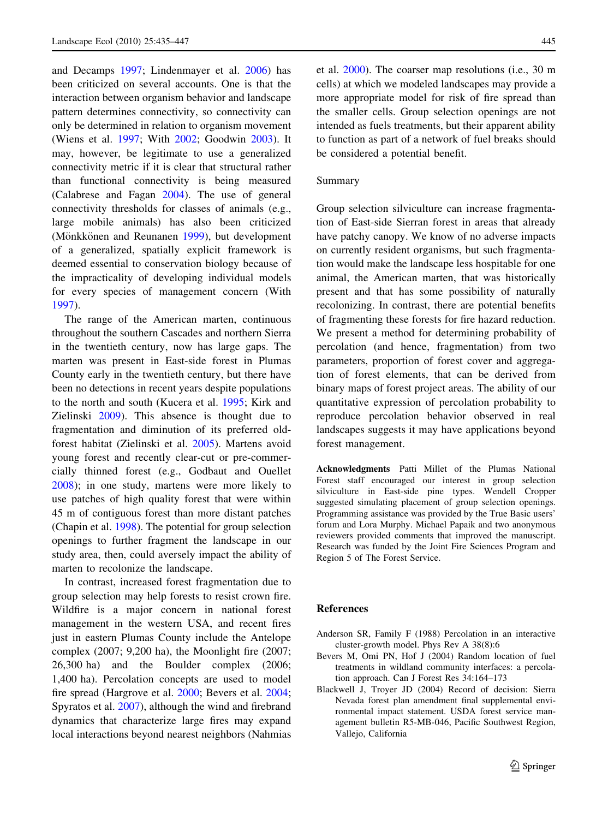<span id="page-10-0"></span>and Decamps [1997](#page-11-0); Lindenmayer et al. [2006\)](#page-11-0) has been criticized on several accounts. One is that the interaction between organism behavior and landscape pattern determines connectivity, so connectivity can only be determined in relation to organism movement (Wiens et al. [1997;](#page-12-0) With [2002](#page-12-0); Goodwin [2003\)](#page-11-0). It may, however, be legitimate to use a generalized connectivity metric if it is clear that structural rather than functional connectivity is being measured (Calabrese and Fagan [2004](#page-11-0)). The use of general connectivity thresholds for classes of animals (e.g., large mobile animals) has also been criticized (Mönkkönen and Reunanen [1999](#page-12-0)), but development of a generalized, spatially explicit framework is deemed essential to conservation biology because of the impracticality of developing individual models for every species of management concern (With [1997\)](#page-12-0).

The range of the American marten, continuous throughout the southern Cascades and northern Sierra in the twentieth century, now has large gaps. The marten was present in East-side forest in Plumas County early in the twentieth century, but there have been no detections in recent years despite populations to the north and south (Kucera et al. [1995;](#page-11-0) Kirk and Zielinski [2009\)](#page-11-0). This absence is thought due to fragmentation and diminution of its preferred oldforest habitat (Zielinski et al. [2005](#page-12-0)). Martens avoid young forest and recently clear-cut or pre-commercially thinned forest (e.g., Godbaut and Ouellet [2008\)](#page-11-0); in one study, martens were more likely to use patches of high quality forest that were within 45 m of contiguous forest than more distant patches (Chapin et al. [1998](#page-11-0)). The potential for group selection openings to further fragment the landscape in our study area, then, could aversely impact the ability of marten to recolonize the landscape.

In contrast, increased forest fragmentation due to group selection may help forests to resist crown fire. Wildfire is a major concern in national forest management in the western USA, and recent fires just in eastern Plumas County include the Antelope complex (2007; 9,200 ha), the Moonlight fire (2007; 26,300 ha) and the Boulder complex (2006; 1,400 ha). Percolation concepts are used to model fire spread (Hargrove et al. [2000;](#page-11-0) Bevers et al. 2004; Spyratos et al. [2007](#page-12-0)), although the wind and firebrand dynamics that characterize large fires may expand local interactions beyond nearest neighbors (Nahmias

et al. [2000\)](#page-12-0). The coarser map resolutions (i.e., 30 m cells) at which we modeled landscapes may provide a more appropriate model for risk of fire spread than the smaller cells. Group selection openings are not intended as fuels treatments, but their apparent ability to function as part of a network of fuel breaks should be considered a potential benefit.

#### Summary

Group selection silviculture can increase fragmentation of East-side Sierran forest in areas that already have patchy canopy. We know of no adverse impacts on currently resident organisms, but such fragmentation would make the landscape less hospitable for one animal, the American marten, that was historically present and that has some possibility of naturally recolonizing. In contrast, there are potential benefits of fragmenting these forests for fire hazard reduction. We present a method for determining probability of percolation (and hence, fragmentation) from two parameters, proportion of forest cover and aggregation of forest elements, that can be derived from binary maps of forest project areas. The ability of our quantitative expression of percolation probability to reproduce percolation behavior observed in real landscapes suggests it may have applications beyond forest management.

Acknowledgments Patti Millet of the Plumas National Forest staff encouraged our interest in group selection silviculture in East-side pine types. Wendell Cropper suggested simulating placement of group selection openings. Programming assistance was provided by the True Basic users' forum and Lora Murphy. Michael Papaik and two anonymous reviewers provided comments that improved the manuscript. Research was funded by the Joint Fire Sciences Program and Region 5 of The Forest Service.

#### References

- Anderson SR, Family F (1988) Percolation in an interactive cluster-growth model. Phys Rev A 38(8):6
- Bevers M, Omi PN, Hof J (2004) Random location of fuel treatments in wildland community interfaces: a percolation approach. Can J Forest Res 34:164–173
- Blackwell J, Troyer JD (2004) Record of decision: Sierra Nevada forest plan amendment final supplemental environmental impact statement. USDA forest service management bulletin R5-MB-046, Pacific Southwest Region, Vallejo, California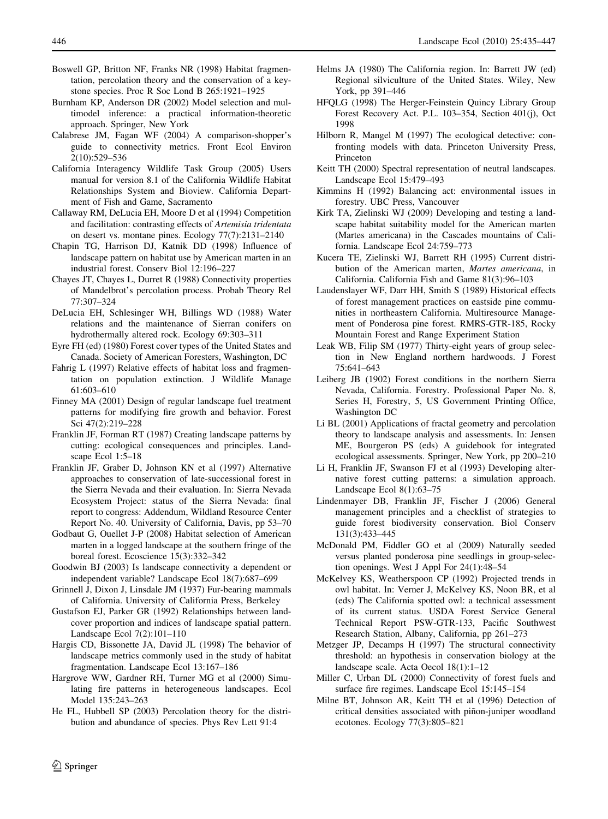- <span id="page-11-0"></span>Boswell GP, Britton NF, Franks NR (1998) Habitat fragmentation, percolation theory and the conservation of a keystone species. Proc R Soc Lond B 265:1921–1925
- Burnham KP, Anderson DR (2002) Model selection and multimodel inference: a practical information-theoretic approach. Springer, New York
- Calabrese JM, Fagan WF (2004) A comparison-shopper's guide to connectivity metrics. Front Ecol Environ 2(10):529–536
- California Interagency Wildlife Task Group (2005) Users manual for version 8.1 of the California Wildlife Habitat Relationships System and Bioview. California Department of Fish and Game, Sacramento
- Callaway RM, DeLucia EH, Moore D et al (1994) Competition and facilitation: contrasting effects of Artemisia tridentata on desert vs. montane pines. Ecology 77(7):2131–2140
- Chapin TG, Harrison DJ, Katnik DD (1998) Influence of landscape pattern on habitat use by American marten in an industrial forest. Conserv Biol 12:196–227
- Chayes JT, Chayes L, Durret R (1988) Connectivity properties of Mandelbrot's percolation process. Probab Theory Rel 77:307–324
- DeLucia EH, Schlesinger WH, Billings WD (1988) Water relations and the maintenance of Sierran conifers on hydrothermally altered rock. Ecology 69:303–311
- Eyre FH (ed) (1980) Forest cover types of the United States and Canada. Society of American Foresters, Washington, DC
- Fahrig L (1997) Relative effects of habitat loss and fragmentation on population extinction. J Wildlife Manage 61:603–610
- Finney MA (2001) Design of regular landscape fuel treatment patterns for modifying fire growth and behavior. Forest Sci 47(2):219–228
- Franklin JF, Forman RT (1987) Creating landscape patterns by cutting: ecological consequences and principles. Landscape Ecol 1:5–18
- Franklin JF, Graber D, Johnson KN et al (1997) Alternative approaches to conservation of late-successional forest in the Sierra Nevada and their evaluation. In: Sierra Nevada Ecosystem Project: status of the Sierra Nevada: final report to congress: Addendum, Wildland Resource Center Report No. 40. University of California, Davis, pp 53–70
- Godbaut G, Ouellet J-P (2008) Habitat selection of American marten in a logged landscape at the southern fringe of the boreal forest. Ecoscience 15(3):332–342
- Goodwin BJ (2003) Is landscape connectivity a dependent or independent variable? Landscape Ecol 18(7):687–699
- Grinnell J, Dixon J, Linsdale JM (1937) Fur-bearing mammals of California. University of California Press, Berkeley
- Gustafson EJ, Parker GR (1992) Relationships between landcover proportion and indices of landscape spatial pattern. Landscape Ecol 7(2):101–110
- Hargis CD, Bissonette JA, David JL (1998) The behavior of landscape metrics commonly used in the study of habitat fragmentation. Landscape Ecol 13:167–186
- Hargrove WW, Gardner RH, Turner MG et al (2000) Simulating fire patterns in heterogeneous landscapes. Ecol Model 135:243–263
- He FL, Hubbell SP (2003) Percolation theory for the distribution and abundance of species. Phys Rev Lett 91:4
- Helms JA (1980) The California region. In: Barrett JW (ed) Regional silviculture of the United States. Wiley, New York, pp 391–446
- HFQLG (1998) The Herger-Feinstein Quincy Library Group Forest Recovery Act. P.L. 103–354, Section 401(j), Oct 1998
- Hilborn R, Mangel M (1997) The ecological detective: confronting models with data. Princeton University Press, Princeton
- Keitt TH (2000) Spectral representation of neutral landscapes. Landscape Ecol 15:479–493
- Kimmins H (1992) Balancing act: environmental issues in forestry. UBC Press, Vancouver
- Kirk TA, Zielinski WJ (2009) Developing and testing a landscape habitat suitability model for the American marten (Martes americana) in the Cascades mountains of California. Landscape Ecol 24:759–773
- Kucera TE, Zielinski WJ, Barrett RH (1995) Current distribution of the American marten, Martes americana, in California. California Fish and Game 81(3):96–103
- Laudenslayer WF, Darr HH, Smith S (1989) Historical effects of forest management practices on eastside pine communities in northeastern California. Multiresource Management of Ponderosa pine forest. RMRS-GTR-185, Rocky Mountain Forest and Range Experiment Station
- Leak WB, Filip SM (1977) Thirty-eight years of group selection in New England northern hardwoods. J Forest 75:641–643
- Leiberg JB (1902) Forest conditions in the northern Sierra Nevada, California. Forestry. Professional Paper No. 8, Series H, Forestry, 5, US Government Printing Office, Washington DC
- Li BL (2001) Applications of fractal geometry and percolation theory to landscape analysis and assessments. In: Jensen ME, Bourgeron PS (eds) A guidebook for integrated ecological assessments. Springer, New York, pp 200–210
- Li H, Franklin JF, Swanson FJ et al (1993) Developing alternative forest cutting patterns: a simulation approach. Landscape Ecol 8(1):63–75
- Lindenmayer DB, Franklin JF, Fischer J (2006) General management principles and a checklist of strategies to guide forest biodiversity conservation. Biol Conserv 131(3):433–445
- McDonald PM, Fiddler GO et al (2009) Naturally seeded versus planted ponderosa pine seedlings in group-selection openings. West J Appl For 24(1):48–54
- McKelvey KS, Weatherspoon CP (1992) Projected trends in owl habitat. In: Verner J, McKelvey KS, Noon BR, et al (eds) The California spotted owl: a technical assessment of its current status. USDA Forest Service General Technical Report PSW-GTR-133, Pacific Southwest Research Station, Albany, California, pp 261–273
- Metzger JP, Decamps H (1997) The structural connectivity threshold: an hypothesis in conservation biology at the landscape scale. Acta Oecol 18(1):1–12
- Miller C, Urban DL (2000) Connectivity of forest fuels and surface fire regimes. Landscape Ecol 15:145–154
- Milne BT, Johnson AR, Keitt TH et al (1996) Detection of critical densities associated with piñon-juniper woodland ecotones. Ecology 77(3):805–821